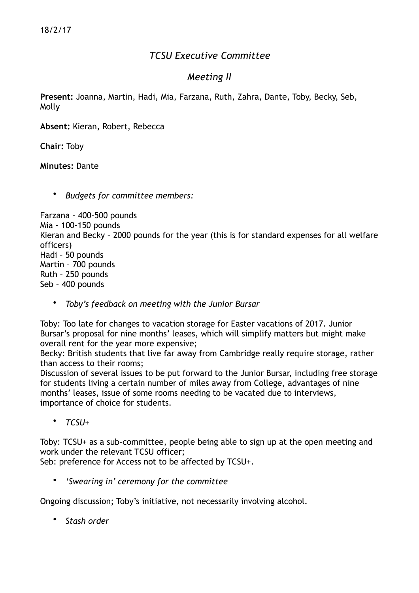## *TCSU Executive Committee*

## *Meeting II*

**Present:** Joanna, Martin, Hadi, Mia, Farzana, Ruth, Zahra, Dante, Toby, Becky, Seb, Molly

**Absent:** Kieran, Robert, Rebecca

**Chair:** Toby

**Minutes:** Dante

• *Budgets for committee members:* 

Farzana - 400-500 pounds Mia - 100-150 pounds Kieran and Becky – 2000 pounds for the year (this is for standard expenses for all welfare officers) Hadi – 50 pounds Martin – 700 pounds Ruth – 250 pounds Seb – 400 pounds

• *Toby's feedback on meeting with the Junior Bursar* 

Toby: Too late for changes to vacation storage for Easter vacations of 2017. Junior Bursar's proposal for nine months' leases, which will simplify matters but might make overall rent for the year more expensive;

Becky: British students that live far away from Cambridge really require storage, rather than access to their rooms;

Discussion of several issues to be put forward to the Junior Bursar, including free storage for students living a certain number of miles away from College, advantages of nine months' leases, issue of some rooms needing to be vacated due to interviews, importance of choice for students.

• *TCSU+* 

Toby: TCSU+ as a sub-committee, people being able to sign up at the open meeting and work under the relevant TCSU officer;

Seb: preference for Access not to be affected by TCSU+.

• *'Swearing in' ceremony for the committee* 

Ongoing discussion; Toby's initiative, not necessarily involving alcohol.

• *Stash order*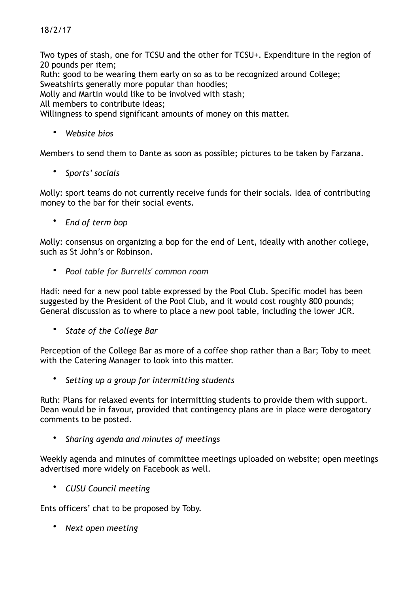## 18/2/17

Two types of stash, one for TCSU and the other for TCSU+. Expenditure in the region of 20 pounds per item;

Ruth: good to be wearing them early on so as to be recognized around College; Sweatshirts generally more popular than hoodies;

Molly and Martin would like to be involved with stash;

All members to contribute ideas;

Willingness to spend significant amounts of money on this matter.

• *Website bios* 

Members to send them to Dante as soon as possible; pictures to be taken by Farzana.

• *Sports' socials* 

Molly: sport teams do not currently receive funds for their socials. Idea of contributing money to the bar for their social events.

• *End of term bop* 

Molly: consensus on organizing a bop for the end of Lent, ideally with another college, such as St John's or Robinson.

• *Pool table for Burrells' common room*

Hadi: need for a new pool table expressed by the Pool Club. Specific model has been suggested by the President of the Pool Club, and it would cost roughly 800 pounds; General discussion as to where to place a new pool table, including the lower JCR.

• *State of the College Bar*

Perception of the College Bar as more of a coffee shop rather than a Bar; Toby to meet with the Catering Manager to look into this matter.

• *Setting up a group for intermitting students* 

Ruth: Plans for relaxed events for intermitting students to provide them with support. Dean would be in favour, provided that contingency plans are in place were derogatory comments to be posted.

• *Sharing agenda and minutes of meetings* 

Weekly agenda and minutes of committee meetings uploaded on website; open meetings advertised more widely on Facebook as well.

• *CUSU Council meeting* 

Ents officers' chat to be proposed by Toby.

• *Next open meeting*